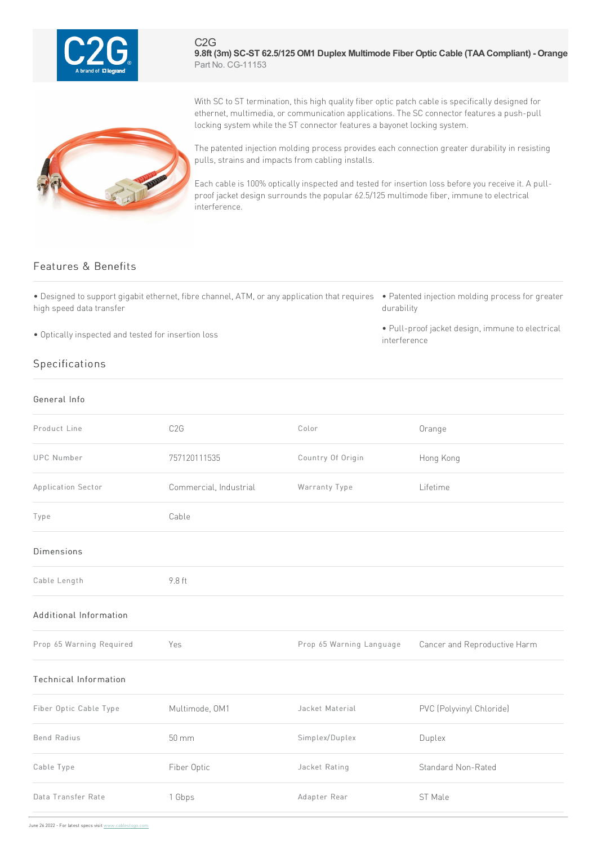

C2G **9.8ft (3m) SC-ST 62.5/125 OM1 Duplex Multimode Fiber Optic Cable (TAACompliant) - Orange** Part No. CG-11153

With SC to ST termination, this high quality fiber optic patch cable is specifically designed for ethernet, multimedia, or communication applications. The SC connector features a push-pull locking system while the ST connector features a bayonet locking system.

The patented injection molding process provides each connection greater durability in resisting pulls, strains and impacts from cabling installs.

Each cable is 100% optically inspected and tested for insertion loss before you receive it. A pullproof jacket design surrounds the popular 62.5/125 multimode fiber, immune to electrical interference.

## Features & Benefits

• Designed to support gigabit ethernet, fibre channel, ATM, or any application that requires • Patented injection molding process for greater high speed data transfer

• Optically inspected and tested for insertion loss

## Specifications

General Info

## durability

• Pull-proof jacket design, immune to electrical interference

| Product Line                 | C <sub>2</sub> G       | Color                    | Orange                       |
|------------------------------|------------------------|--------------------------|------------------------------|
| UPC Number                   | 757120111535           | Country Of Origin        | Hong Kong                    |
| Application Sector           | Commercial, Industrial | Warranty Type            | Lifetime                     |
| Type                         | Cable                  |                          |                              |
| <b>Dimensions</b>            |                        |                          |                              |
| Cable Length                 | 9.8 ft                 |                          |                              |
| Additional Information       |                        |                          |                              |
| Prop 65 Warning Required     | Yes                    | Prop 65 Warning Language | Cancer and Reproductive Harm |
| <b>Technical Information</b> |                        |                          |                              |
| Fiber Optic Cable Type       | Multimode, OM1         | Jacket Material          | PVC (Polyvinyl Chloride)     |
| <b>Bend Radius</b>           | $50 \, \text{mm}$      | Simplex/Duplex           | Duplex                       |
| Cable Type                   | Fiber Optic            | Jacket Rating            | Standard Non-Rated           |
| Data Transfer Rate           | 1 Gbps                 | Adapter Rear             | ST Male                      |
|                              |                        |                          |                              |

June 26 2022 - For latest specs visit www.cablestogo.com